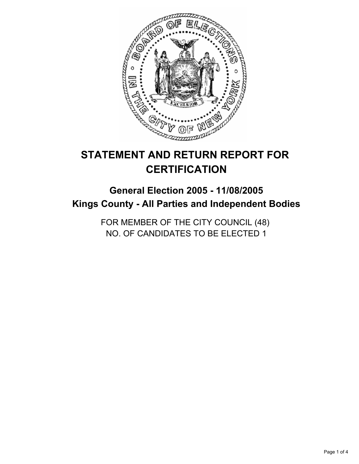

# **STATEMENT AND RETURN REPORT FOR CERTIFICATION**

# **General Election 2005 - 11/08/2005 Kings County - All Parties and Independent Bodies**

FOR MEMBER OF THE CITY COUNCIL (48) NO. OF CANDIDATES TO BE ELECTED 1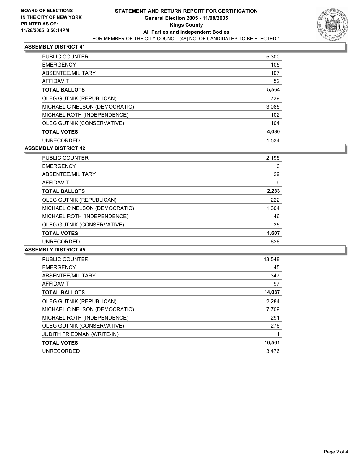

### **ASSEMBLY DISTRICT 41**

| <b>PUBLIC COUNTER</b>         | 5,300 |
|-------------------------------|-------|
| <b>EMERGENCY</b>              | 105   |
| ABSENTEE/MILITARY             | 107   |
| AFFIDAVIT                     | 52    |
| <b>TOTAL BALLOTS</b>          | 5,564 |
| OLEG GUTNIK (REPUBLICAN)      | 739   |
| MICHAEL C NELSON (DEMOCRATIC) | 3,085 |
| MICHAEL ROTH (INDEPENDENCE)   | 102   |
| OLEG GUTNIK (CONSERVATIVE)    | 104   |
| <b>TOTAL VOTES</b>            | 4,030 |
| <b>UNRECORDED</b>             | 1,534 |

#### **ASSEMBLY DISTRICT 42**

| PUBLIC COUNTER                | 2,195 |  |
|-------------------------------|-------|--|
| <b>EMERGENCY</b>              | 0     |  |
| ABSENTEE/MILITARY             | 29    |  |
| <b>AFFIDAVIT</b>              | 9     |  |
| <b>TOTAL BALLOTS</b>          | 2,233 |  |
| OLEG GUTNIK (REPUBLICAN)      | 222   |  |
| MICHAEL C NELSON (DEMOCRATIC) | 1,304 |  |
| MICHAEL ROTH (INDEPENDENCE)   | 46    |  |
| OLEG GUTNIK (CONSERVATIVE)    | 35    |  |
| <b>TOTAL VOTES</b>            | 1,607 |  |
| <b>UNRECORDED</b>             | 626   |  |

#### **ASSEMBLY DISTRICT 45**

| <b>PUBLIC COUNTER</b>         | 13,548 |
|-------------------------------|--------|
| <b>EMERGENCY</b>              | 45     |
| ABSENTEE/MILITARY             | 347    |
| AFFIDAVIT                     | 97     |
| <b>TOTAL BALLOTS</b>          | 14,037 |
| OLEG GUTNIK (REPUBLICAN)      | 2,284  |
| MICHAEL C NELSON (DEMOCRATIC) | 7,709  |
| MICHAEL ROTH (INDEPENDENCE)   | 291    |
| OLEG GUTNIK (CONSERVATIVE)    | 276    |
| JUDITH FRIEDMAN (WRITE-IN)    |        |
| <b>TOTAL VOTES</b>            | 10,561 |
| <b>UNRECORDED</b>             | 3.476  |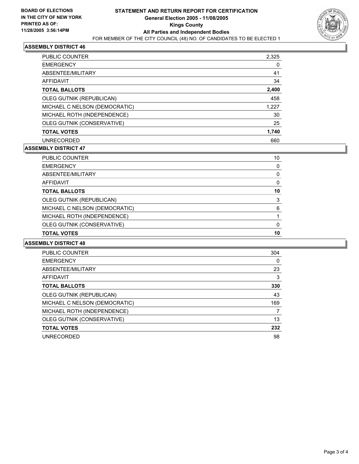

### **ASSEMBLY DISTRICT 46**

| PUBLIC COUNTER                | 2,325 |
|-------------------------------|-------|
| <b>EMERGENCY</b>              |       |
| ABSENTEE/MILITARY             | 41    |
| <b>AFFIDAVIT</b>              | 34    |
| <b>TOTAL BALLOTS</b>          | 2,400 |
| OLEG GUTNIK (REPUBLICAN)      | 458   |
| MICHAEL C NELSON (DEMOCRATIC) | 1,227 |
| MICHAEL ROTH (INDEPENDENCE)   | 30    |
| OLEG GUTNIK (CONSERVATIVE)    | 25    |
| <b>TOTAL VOTES</b>            | 1,740 |
| <b>UNRECORDED</b>             | 660   |

### **ASSEMBLY DISTRICT 47**

| PUBLIC COUNTER                | 10 |  |
|-------------------------------|----|--|
| <b>EMERGENCY</b>              |    |  |
| ABSENTEE/MILITARY             |    |  |
| AFFIDAVIT                     |    |  |
| <b>TOTAL BALLOTS</b>          | 10 |  |
| OLEG GUTNIK (REPUBLICAN)      | ว  |  |
| MICHAEL C NELSON (DEMOCRATIC) | 6  |  |
| MICHAEL ROTH (INDEPENDENCE)   |    |  |
| OLEG GUTNIK (CONSERVATIVE)    |    |  |
| <b>TOTAL VOTES</b>            | 10 |  |

#### **ASSEMBLY DISTRICT 48**

| PUBLIC COUNTER                | 304 |  |
|-------------------------------|-----|--|
| <b>EMERGENCY</b>              | 0   |  |
| ABSENTEE/MILITARY             | 23  |  |
| AFFIDAVIT                     | 3   |  |
| <b>TOTAL BALLOTS</b>          | 330 |  |
| OLEG GUTNIK (REPUBLICAN)      | 43  |  |
| MICHAEL C NELSON (DEMOCRATIC) | 169 |  |
| MICHAEL ROTH (INDEPENDENCE)   |     |  |
| OLEG GUTNIK (CONSERVATIVE)    | 13  |  |
| <b>TOTAL VOTES</b>            | 232 |  |
| <b>UNRECORDED</b>             | 98  |  |